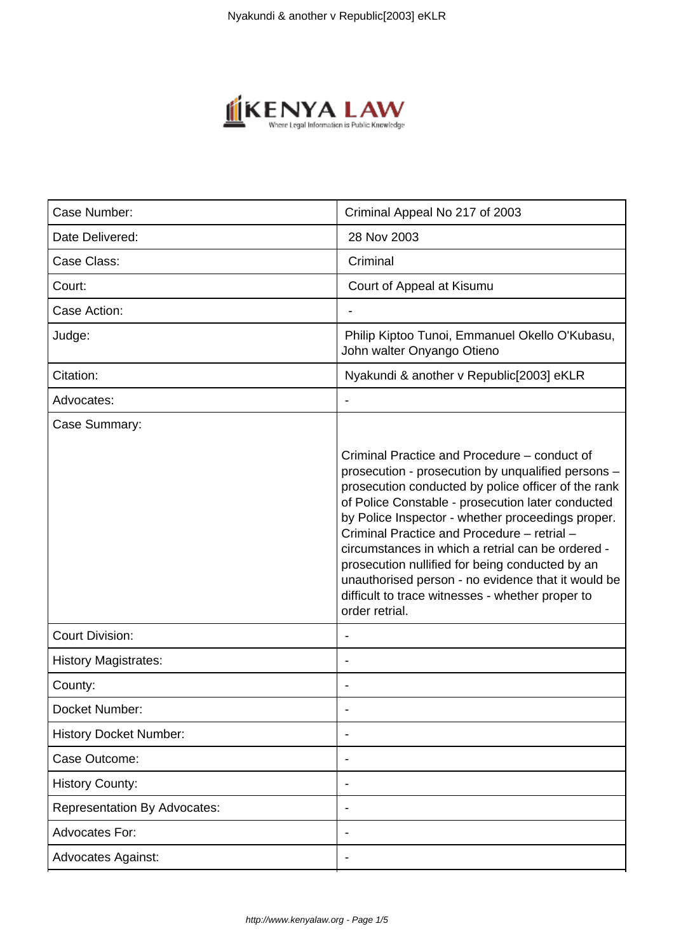

| Case Number:                        | Criminal Appeal No 217 of 2003                                                                                                                                                                                                                                                                                                                                                                                                                                                                                                                         |
|-------------------------------------|--------------------------------------------------------------------------------------------------------------------------------------------------------------------------------------------------------------------------------------------------------------------------------------------------------------------------------------------------------------------------------------------------------------------------------------------------------------------------------------------------------------------------------------------------------|
| Date Delivered:                     | 28 Nov 2003                                                                                                                                                                                                                                                                                                                                                                                                                                                                                                                                            |
| Case Class:                         | Criminal                                                                                                                                                                                                                                                                                                                                                                                                                                                                                                                                               |
| Court:                              | Court of Appeal at Kisumu                                                                                                                                                                                                                                                                                                                                                                                                                                                                                                                              |
| Case Action:                        |                                                                                                                                                                                                                                                                                                                                                                                                                                                                                                                                                        |
| Judge:                              | Philip Kiptoo Tunoi, Emmanuel Okello O'Kubasu,<br>John walter Onyango Otieno                                                                                                                                                                                                                                                                                                                                                                                                                                                                           |
| Citation:                           | Nyakundi & another v Republic[2003] eKLR                                                                                                                                                                                                                                                                                                                                                                                                                                                                                                               |
| Advocates:                          |                                                                                                                                                                                                                                                                                                                                                                                                                                                                                                                                                        |
| Case Summary:                       | Criminal Practice and Procedure – conduct of<br>prosecution - prosecution by unqualified persons -<br>prosecution conducted by police officer of the rank<br>of Police Constable - prosecution later conducted<br>by Police Inspector - whether proceedings proper.<br>Criminal Practice and Procedure - retrial -<br>circumstances in which a retrial can be ordered -<br>prosecution nullified for being conducted by an<br>unauthorised person - no evidence that it would be<br>difficult to trace witnesses - whether proper to<br>order retrial. |
| <b>Court Division:</b>              |                                                                                                                                                                                                                                                                                                                                                                                                                                                                                                                                                        |
| <b>History Magistrates:</b>         | ٠                                                                                                                                                                                                                                                                                                                                                                                                                                                                                                                                                      |
| County:                             |                                                                                                                                                                                                                                                                                                                                                                                                                                                                                                                                                        |
| Docket Number:                      |                                                                                                                                                                                                                                                                                                                                                                                                                                                                                                                                                        |
| <b>History Docket Number:</b>       | ٠                                                                                                                                                                                                                                                                                                                                                                                                                                                                                                                                                      |
| Case Outcome:                       |                                                                                                                                                                                                                                                                                                                                                                                                                                                                                                                                                        |
| <b>History County:</b>              |                                                                                                                                                                                                                                                                                                                                                                                                                                                                                                                                                        |
| <b>Representation By Advocates:</b> |                                                                                                                                                                                                                                                                                                                                                                                                                                                                                                                                                        |
| Advocates For:                      |                                                                                                                                                                                                                                                                                                                                                                                                                                                                                                                                                        |
| <b>Advocates Against:</b>           |                                                                                                                                                                                                                                                                                                                                                                                                                                                                                                                                                        |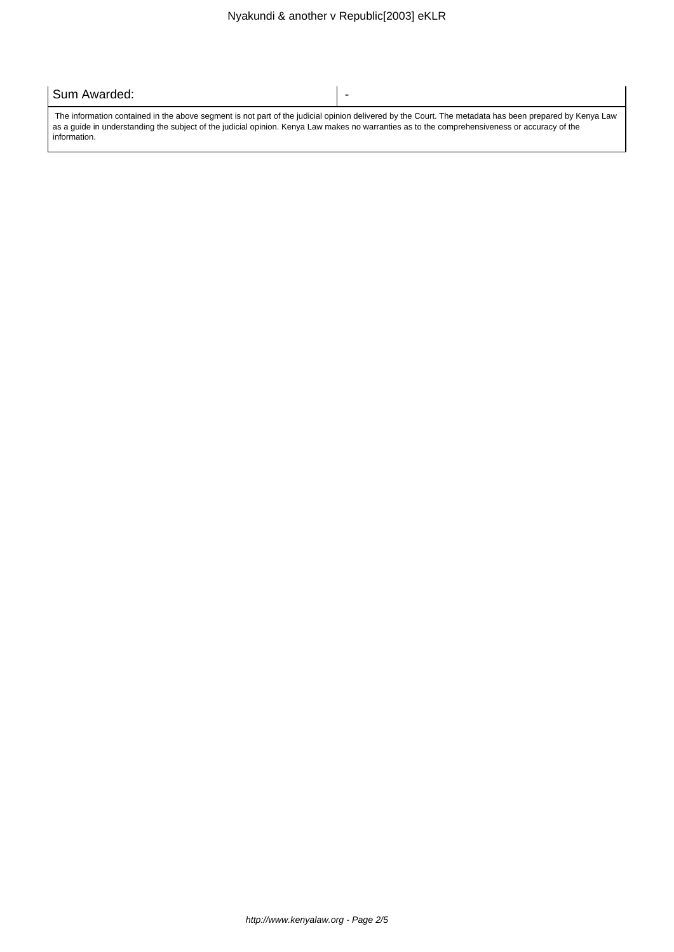| Sum Awarded:                                                                                                                                                                                                                                                                                                            | $\overline{\phantom{0}}$ |
|-------------------------------------------------------------------------------------------------------------------------------------------------------------------------------------------------------------------------------------------------------------------------------------------------------------------------|--------------------------|
| The information contained in the above segment is not part of the judicial opinion delivered by the Court. The metadata has been prepared by Kenya Law<br>as a quide in understanding the subject of the judicial opinion. Kenya Law makes no warranties as to the comprehensiveness or accuracy of the<br>information. |                          |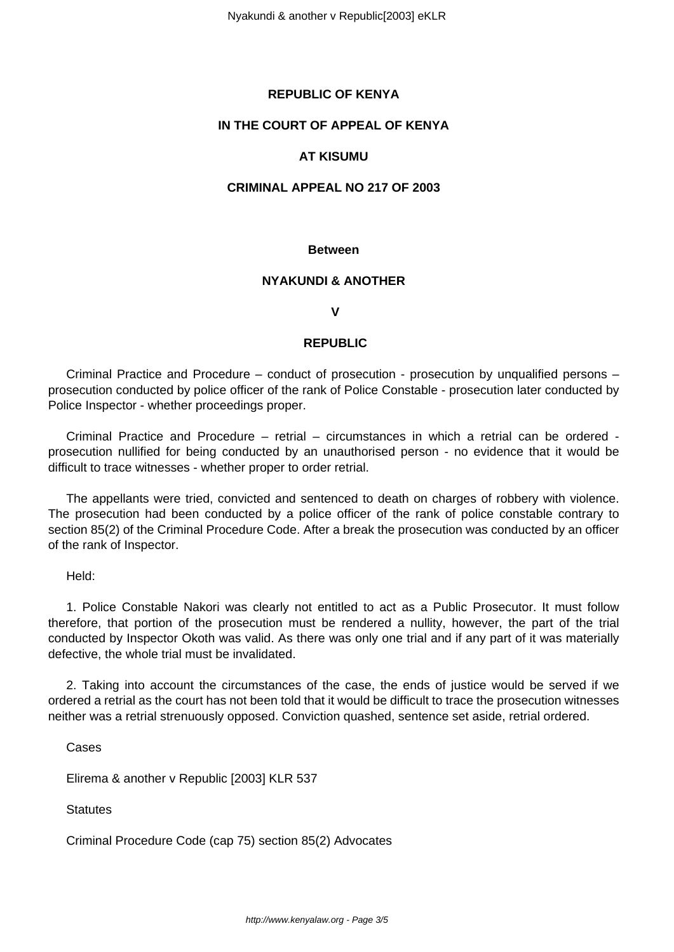# **REPUBLIC OF KENYA**

## **IN THE COURT OF APPEAL OF KENYA**

# **AT KISUMU**

### **CRIMINAL APPEAL NO 217 OF 2003**

#### **Between**

# **NYAKUNDI & ANOTHER**

#### **V**

### **REPUBLIC**

Criminal Practice and Procedure – conduct of prosecution - prosecution by unqualified persons – prosecution conducted by police officer of the rank of Police Constable - prosecution later conducted by Police Inspector - whether proceedings proper.

Criminal Practice and Procedure – retrial – circumstances in which a retrial can be ordered prosecution nullified for being conducted by an unauthorised person - no evidence that it would be difficult to trace witnesses - whether proper to order retrial.

The appellants were tried, convicted and sentenced to death on charges of robbery with violence. The prosecution had been conducted by a police officer of the rank of police constable contrary to section 85(2) of the Criminal Procedure Code. After a break the prosecution was conducted by an officer of the rank of Inspector.

## Held:

1. Police Constable Nakori was clearly not entitled to act as a Public Prosecutor. It must follow therefore, that portion of the prosecution must be rendered a nullity, however, the part of the trial conducted by Inspector Okoth was valid. As there was only one trial and if any part of it was materially defective, the whole trial must be invalidated.

2. Taking into account the circumstances of the case, the ends of justice would be served if we ordered a retrial as the court has not been told that it would be difficult to trace the prosecution witnesses neither was a retrial strenuously opposed. Conviction quashed, sentence set aside, retrial ordered.

Cases

Elirema & another v Republic [2003] KLR 537

**Statutes** 

Criminal Procedure Code (cap 75) section 85(2) Advocates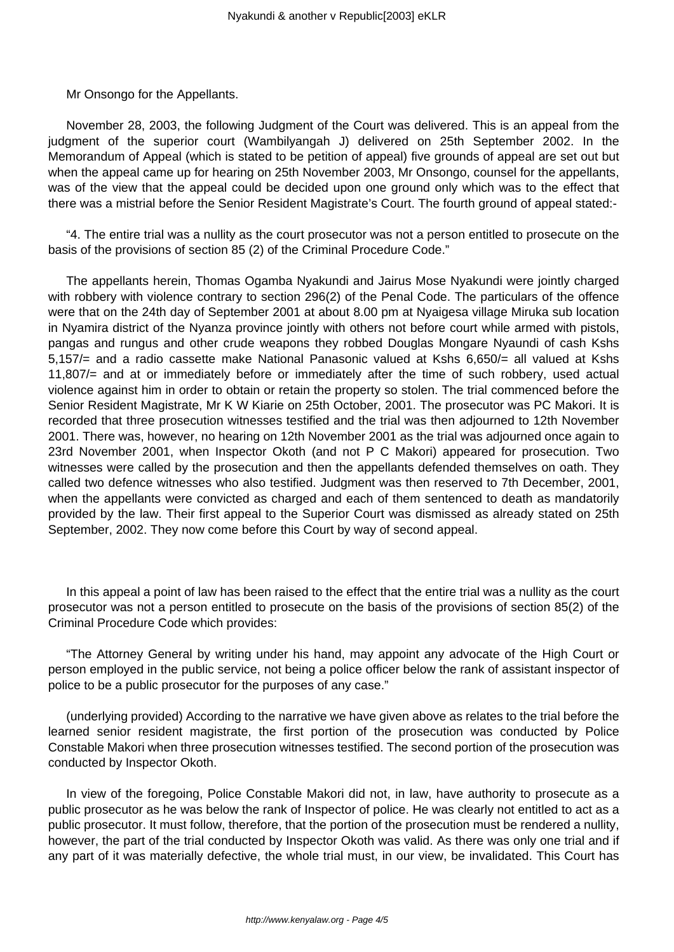Mr Onsongo for the Appellants.

November 28, 2003, the following Judgment of the Court was delivered. This is an appeal from the judgment of the superior court (Wambilyangah J) delivered on 25th September 2002. In the Memorandum of Appeal (which is stated to be petition of appeal) five grounds of appeal are set out but when the appeal came up for hearing on 25th November 2003, Mr Onsongo, counsel for the appellants, was of the view that the appeal could be decided upon one ground only which was to the effect that there was a mistrial before the Senior Resident Magistrate's Court. The fourth ground of appeal stated:-

"4. The entire trial was a nullity as the court prosecutor was not a person entitled to prosecute on the basis of the provisions of section 85 (2) of the Criminal Procedure Code."

The appellants herein, Thomas Ogamba Nyakundi and Jairus Mose Nyakundi were jointly charged with robbery with violence contrary to section 296(2) of the Penal Code. The particulars of the offence were that on the 24th day of September 2001 at about 8.00 pm at Nyaigesa village Miruka sub location in Nyamira district of the Nyanza province jointly with others not before court while armed with pistols, pangas and rungus and other crude weapons they robbed Douglas Mongare Nyaundi of cash Kshs 5,157/= and a radio cassette make National Panasonic valued at Kshs 6,650/= all valued at Kshs 11,807/= and at or immediately before or immediately after the time of such robbery, used actual violence against him in order to obtain or retain the property so stolen. The trial commenced before the Senior Resident Magistrate, Mr K W Kiarie on 25th October, 2001. The prosecutor was PC Makori. It is recorded that three prosecution witnesses testified and the trial was then adjourned to 12th November 2001. There was, however, no hearing on 12th November 2001 as the trial was adjourned once again to 23rd November 2001, when Inspector Okoth (and not P C Makori) appeared for prosecution. Two witnesses were called by the prosecution and then the appellants defended themselves on oath. They called two defence witnesses who also testified. Judgment was then reserved to 7th December, 2001, when the appellants were convicted as charged and each of them sentenced to death as mandatorily provided by the law. Their first appeal to the Superior Court was dismissed as already stated on 25th September, 2002. They now come before this Court by way of second appeal.

In this appeal a point of law has been raised to the effect that the entire trial was a nullity as the court prosecutor was not a person entitled to prosecute on the basis of the provisions of section 85(2) of the Criminal Procedure Code which provides:

"The Attorney General by writing under his hand, may appoint any advocate of the High Court or person employed in the public service, not being a police officer below the rank of assistant inspector of police to be a public prosecutor for the purposes of any case."

(underlying provided) According to the narrative we have given above as relates to the trial before the learned senior resident magistrate, the first portion of the prosecution was conducted by Police Constable Makori when three prosecution witnesses testified. The second portion of the prosecution was conducted by Inspector Okoth.

In view of the foregoing, Police Constable Makori did not, in law, have authority to prosecute as a public prosecutor as he was below the rank of Inspector of police. He was clearly not entitled to act as a public prosecutor. It must follow, therefore, that the portion of the prosecution must be rendered a nullity, however, the part of the trial conducted by Inspector Okoth was valid. As there was only one trial and if any part of it was materially defective, the whole trial must, in our view, be invalidated. This Court has